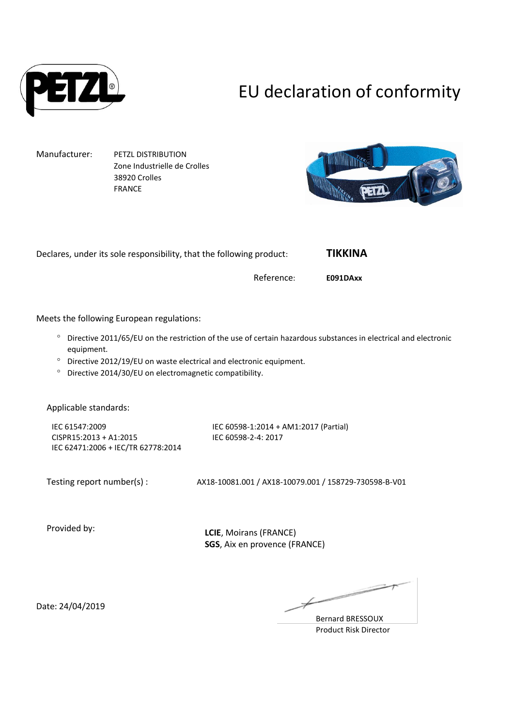

# EU declaration of conformity

Manufacturer: PETZL DISTRIBUTION Zone Industrielle de Crolles 38920 Crolles FRANCE



Declares, under its sole responsibility, that the following product: **TIKKINA**

Reference: **E091DAxx**

Meets the following European regulations:

- Directive 2011/65/EU on the restriction of the use of certain hazardous substances in electrical and electronic equipment.
- Directive 2012/19/EU on waste electrical and electronic equipment.
- <sup>o</sup> Directive 2014/30/EU on electromagnetic compatibility.

Applicable standards:

IEC 61547:2009 CISPR15:2013 + A1:2015 IEC 62471:2006 + IEC/TR 62778:2014

IEC 60598-1:2014 + AM1:2017 (Partial) IEC 60598-2-4: 2017

Testing report number(s) : AX18-10081.001 / AX18-10079.001 / 158729-730598-B-V01

Provided by:

**LCIE**, Moirans (FRANCE) **SGS**, Aix en provence (FRANCE)

Date: 24/04/2019

 $\overline{\phantom{a}}$ 

Bernard BRESSOUX Product Risk Director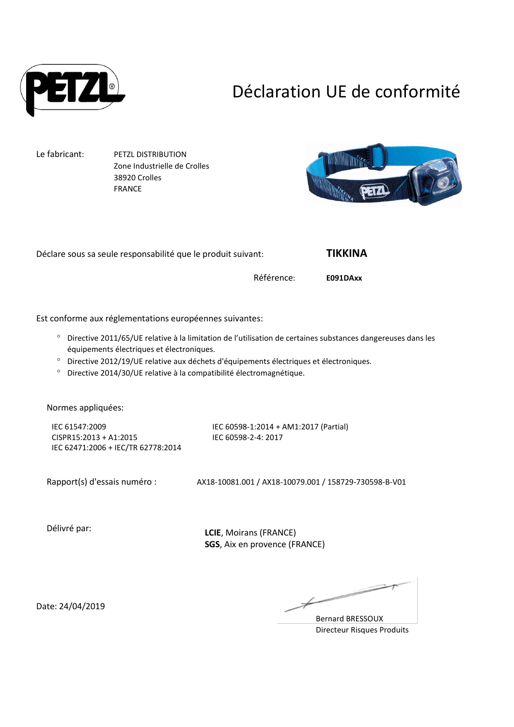

## Déclaration UE de conformité

Le fabricant: PETZL DISTRIBUTION Zone Industrielle de Crolles 38920 Crolles FRANCE



Déclare sous sa seule responsabilité que le produit suivant: **TIKKINA**

Référence: **E091DAxx**

Est conforme aux réglementations européennes suivantes:

- Directive 2011/65/UE relative à la limitation de l'utilisation de certaines substances dangereuses dans les équipements électriques et électroniques.
- Directive 2012/19/UE relative aux déchets d'équipements électriques et électroniques.
- Directive 2014/30/UE relative à la compatibilité électromagnétique.

Normes appliquées:

IEC 61547:2009 CISPR15:2013 + A1:2015 IEC 62471:2006 + IEC/TR 62778:2014

IEC 60598-1:2014 + AM1:2017 (Partial) IEC 60598-2-4: 2017

Rapport(s) d'essais numéro : AX18-10081.001 / AX18-10079.001 / 158729-730598-B-V01

Délivré par:

**LCIE**, Moirans (FRANCE) **SGS**, Aix en provence (FRANCE)

Date: 24/04/2019

Bernard BRESSOUX Directeur Risques Produits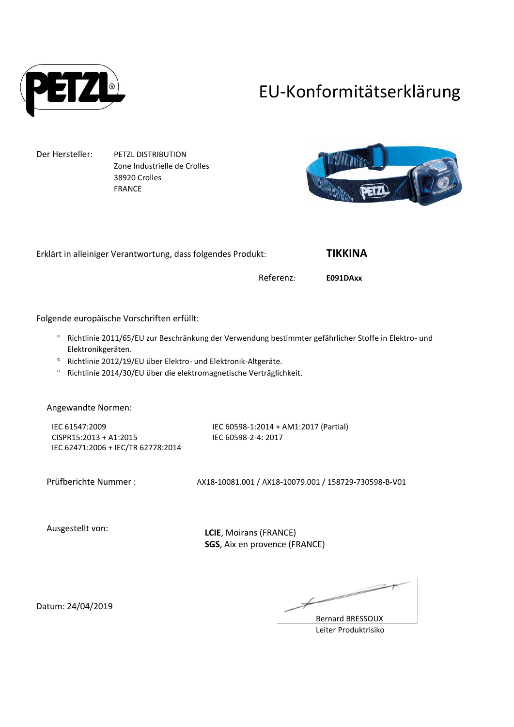

### EU-Konformitätserklärung

Der Hersteller: PETZL DISTRIBUTION Zone Industrielle de Crolles 38920 Crolles FRANCE



Erklärt in alleiniger Verantwortung, dass folgendes Produkt: **TIKKINA**

Referenz: **E091DAxx**

Folgende europäische Vorschriften erfüllt:

- <sup>o</sup> Richtlinie 2011/65/EU zur Beschränkung der Verwendung bestimmter gefährlicher Stoffe in Elektro- und Elektronikgeräten.
- <sup>o</sup> Richtlinie 2012/19/EU über Elektro- und Elektronik-Altgeräte.
- Richtlinie 2014/30/EU über die elektromagnetische Verträglichkeit.

Angewandte Normen:

IEC 61547:2009 CISPR15:2013 + A1:2015 IEC 62471:2006 + IEC/TR 62778:2014

IEC 60598-1:2014 + AM1:2017 (Partial) IEC 60598-2-4: 2017

Prüfberichte Nummer : AX18-10081.001 / AX18-10079.001 / 158729-730598-B-V01

Ausgestellt von:

**LCIE**, Moirans (FRANCE) **SGS**, Aix en provence (FRANCE)

 $\overline{\phantom{1}}$ 

Bernard BRESSOUX Leiter Produktrisiko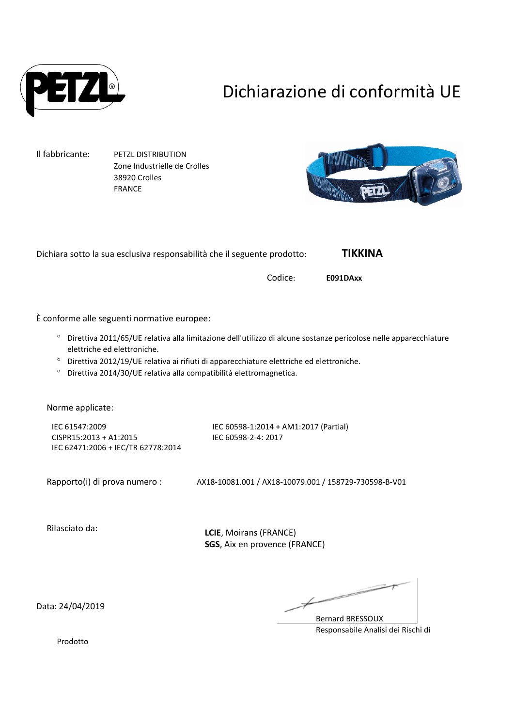

## Dichiarazione di conformità UE

Il fabbricante: PETZL DISTRIBUTION Zone Industrielle de Crolles 38920 Crolles FRANCE



Dichiara sotto la sua esclusiva responsabilità che il seguente prodotto: **TIKKINA**

Codice: **E091DAxx**

È conforme alle seguenti normative europee:

- Direttiva 2011/65/UE relativa alla limitazione dell'utilizzo di alcune sostanze pericolose nelle apparecchiature elettriche ed elettroniche.
- <sup>o</sup> Direttiva 2012/19/UE relativa ai rifiuti di apparecchiature elettriche ed elettroniche.
- Direttiva 2014/30/UE relativa alla compatibilità elettromagnetica.

Norme applicate:

IEC 61547:2009 CISPR15:2013 + A1:2015 IEC 62471:2006 + IEC/TR 62778:2014 IEC 60598-1:2014 + AM1:2017 (Partial) IEC 60598-2-4: 2017

Rapporto(i) di prova numero : AX18-10081.001 / AX18-10079.001 / 158729-730598-B-V01

Rilasciato da:

**LCIE**, Moirans (FRANCE) **SGS**, Aix en provence (FRANCE)

Data: 24/04/2019

∠

Bernard BRESSOUX Responsabile Analisi dei Rischi di

Prodotto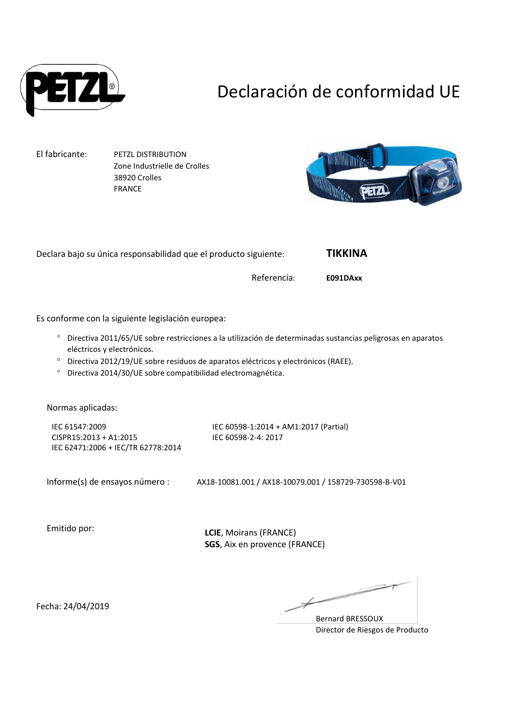

## Declaración de conformidad UE

El fabricante: PETZL DISTRIBUTION Zone Industrielle de Crolles 38920 Crolles FRANCE



Declara bajo su única responsabilidad que el producto siguiente: **TIKKINA** Referencia: **E091DAxx** Es conforme con la siguiente legislación europea: Directiva 2011/65/UE sobre restricciones a la utilización de determinadas sustancias peligrosas en aparatos eléctricos y electrónicos. Directiva 2012/19/UE sobre residuos de aparatos eléctricos y electrónicos (RAEE). Directiva 2014/30/UE sobre compatibilidad electromagnética. Normas aplicadas: IEC 61547:2009 CISPR15:2013 + A1:2015 IEC 62471:2006 + IEC/TR 62778:2014 IEC 60598-1:2014 + AM1:2017 (Partial) IEC 60598-2-4: 2017 Informe(s) de ensayos número : AX18-10081.001 / AX18-10079.001 / 158729-730598-B-V01 Emitido por: **LCIE**, Moirans (FRANCE) **SGS**, Aix en provence (FRANCE)

Fecha: 24/04/2019

∠

Bernard BRESSOUX Director de Riesgos de Producto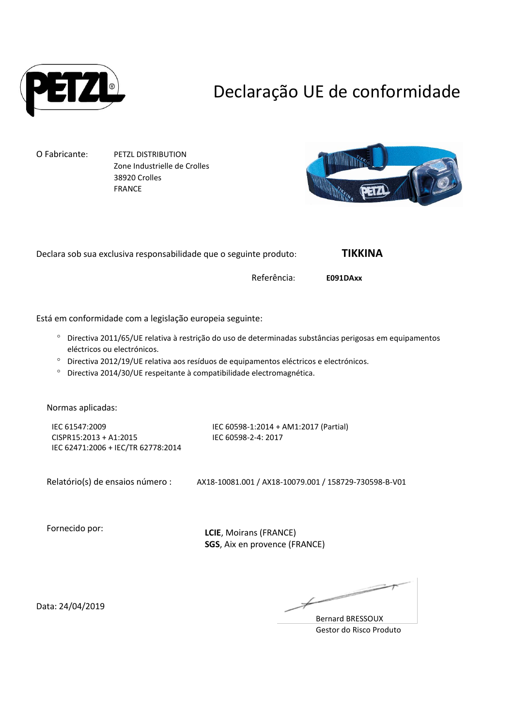

## Declaração UE de conformidade

O Fabricante: PETZL DISTRIBUTION

Zone Industrielle de Crolles 38920 Crolles FRANCE



Declara sob sua exclusiva responsabilidade que o seguinte produto: **TIKKINA**

Referência: **E091DAxx**

Está em conformidade com a legislação europeia seguinte:

- Directiva 2011/65/UE relativa à restrição do uso de determinadas substâncias perigosas em equipamentos eléctricos ou electrónicos.
- Directiva 2012/19/UE relativa aos resíduos de equipamentos eléctricos e electrónicos.
- Directiva 2014/30/UE respeitante à compatibilidade electromagnética.

Normas aplicadas:

IEC 61547:2009 CISPR15:2013 + A1:2015 IEC 62471:2006 + IEC/TR 62778:2014

IEC 60598-1:2014 + AM1:2017 (Partial) IEC 60598-2-4: 2017

Relatório(s) de ensaios número : AX18-10081.001 / AX18-10079.001 / 158729-730598-B-V01

Fornecido por:

**LCIE**, Moirans (FRANCE) **SGS**, Aix en provence (FRANCE)

Data: 24/04/2019

 $\overline{\phantom{a}}$ 

Bernard BRESSOUX Gestor do Risco Produto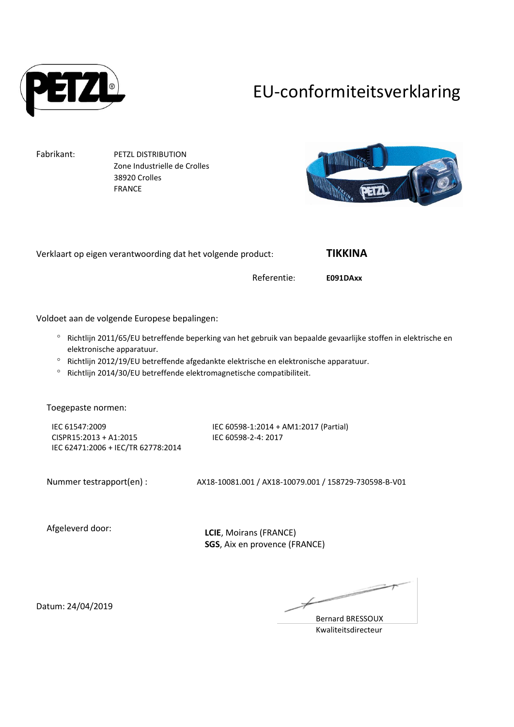

# EU-conformiteitsverklaring

Fabrikant: PETZL DISTRIBUTION Zone Industrielle de Crolles 38920 Crolles FRANCE



| Verklaart op eigen verantwoording dat het volgende product:                                                                                           |                                                              | <b>TIKKINA</b> |  |
|-------------------------------------------------------------------------------------------------------------------------------------------------------|--------------------------------------------------------------|----------------|--|
|                                                                                                                                                       | Referentie:                                                  | E091DAxx       |  |
|                                                                                                                                                       |                                                              |                |  |
| Voldoet aan de volgende Europese bepalingen:                                                                                                          |                                                              |                |  |
| $\circ$<br>Richtlijn 2011/65/EU betreffende beperking van het gebruik van bepaalde gevaarlijke stoffen in elektrische en<br>elektronische apparatuur. |                                                              |                |  |
| $\circ$<br>Richtlijn 2012/19/EU betreffende afgedankte elektrische en elektronische apparatuur.                                                       |                                                              |                |  |
| Richtlijn 2014/30/EU betreffende elektromagnetische compatibiliteit.<br>$\circ$                                                                       |                                                              |                |  |
|                                                                                                                                                       |                                                              |                |  |
| Toegepaste normen:                                                                                                                                    |                                                              |                |  |
| IEC 61547:2009<br>CISPR15:2013 + A1:2015                                                                                                              | IEC 60598-1:2014 + AM1:2017 (Partial)<br>IEC 60598-2-4: 2017 |                |  |
| IEC 62471:2006 + IEC/TR 62778:2014                                                                                                                    |                                                              |                |  |
|                                                                                                                                                       |                                                              |                |  |
| Nummer testrapport(en) :                                                                                                                              | AX18-10081.001 / AX18-10079.001 / 158729-730598-B-V01        |                |  |
|                                                                                                                                                       |                                                              |                |  |
|                                                                                                                                                       |                                                              |                |  |
| Afgeleverd door:                                                                                                                                      | $ICIF$ Moirans $(FRANCF)$                                    |                |  |

**LCIE**, Moirans (FRANCE) **SGS**, Aix en provence (FRANCE)

 $\overline{\phantom{m}}$ 

Bernard BRESSOUX Kwaliteitsdirecteur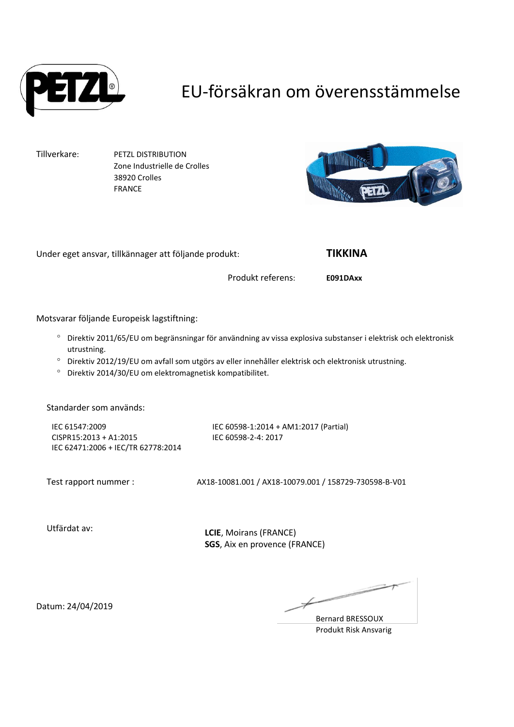

### EU-försäkran om överensstämmelse

Tillverkare: PETZL DISTRIBUTION Zone Industrielle de Crolles 38920 Crolles FRANCE



Under eget ansvar, tillkännager att följande produkt: **TIKKINA**

Produkt referens: **E091DAxx**

Motsvarar följande Europeisk lagstiftning:

- Direktiv 2011/65/EU om begränsningar för användning av vissa explosiva substanser i elektrisk och elektronisk utrustning.
- Direktiv 2012/19/EU om avfall som utgörs av eller innehåller elektrisk och elektronisk utrustning.
- Direktiv 2014/30/EU om elektromagnetisk kompatibilitet.

Standarder som används:

IEC 61547:2009 CISPR15:2013 + A1:2015 IEC 62471:2006 + IEC/TR 62778:2014

IEC 60598-1:2014 + AM1:2017 (Partial) IEC 60598-2-4: 2017

Test rapport nummer : AX18-10081.001 / AX18-10079.001 / 158729-730598-B-V01

Utfärdat av:

**LCIE**, Moirans (FRANCE) **SGS**, Aix en provence (FRANCE)

Datum: 24/04/2019

 $\overline{\phantom{a}}$ 

Bernard BRESSOUX Produkt Risk Ansvarig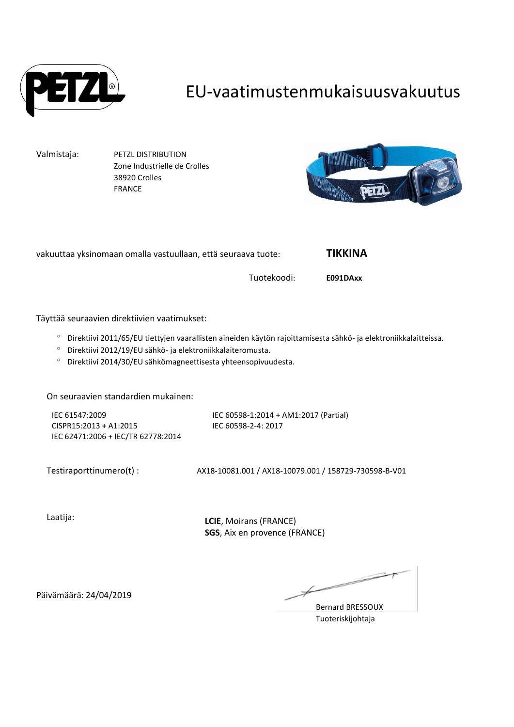

### EU-vaatimustenmukaisuusvakuutus

Valmistaja: PETZL DISTRIBUTION Zone Industrielle de Crolles 38920 Crolles FRANCE



vakuuttaa yksinomaan omalla vastuullaan, että seuraava tuote: **TIKKINA**

Tuotekoodi: **E091DAxx**

Täyttää seuraavien direktiivien vaatimukset:

- Direktiivi 2011/65/EU tiettyjen vaarallisten aineiden käytön rajoittamisesta sähkö- ja elektroniikkalaitteissa.
- Direktiivi 2012/19/EU sähkö- ja elektroniikkalaiteromusta.
- Direktiivi 2014/30/EU sähkömagneettisesta yhteensopivuudesta.

On seuraavien standardien mukainen:

IEC 61547:2009 CISPR15:2013 + A1:2015 IEC 62471:2006 + IEC/TR 62778:2014 IEC 60598-1:2014 + AM1:2017 (Partial) IEC 60598-2-4: 2017

Testiraporttinumero(t) : AX18-10081.001 / AX18-10079.001 / 158729-730598-B-V01

Laatija:

**LCIE**, Moirans (FRANCE) **SGS**, Aix en provence (FRANCE)

 $\implies$ 

Bernard BRESSOUX Tuoteriskijohtaja

Päivämäärä: 24/04/2019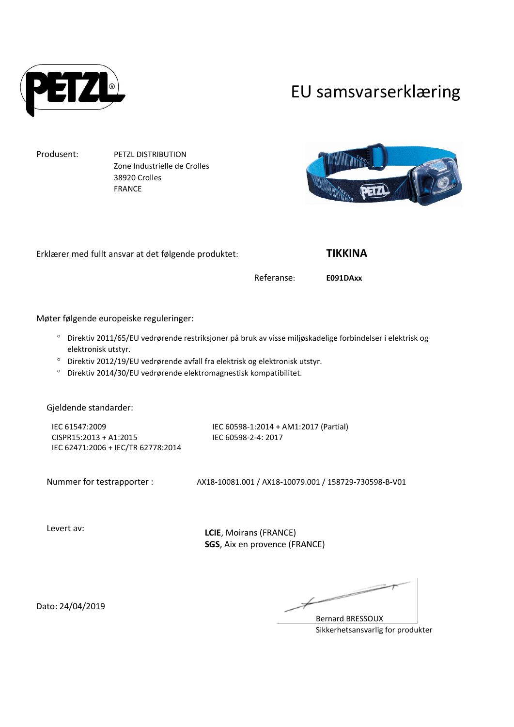

#### EU samsvarserklæring

Produsent: PETZL DISTRIBUTION Zone Industrielle de Crolles 38920 Crolles FRANCE



Erklærer med fullt ansvar at det følgende produktet: **TIKKINA**

Referanse: **E091DAxx**

Møter følgende europeiske reguleringer:

- Direktiv 2011/65/EU vedrørende restriksjoner på bruk av visse miljøskadelige forbindelser i elektrisk og elektronisk utstyr.
- Direktiv 2012/19/EU vedrørende avfall fra elektrisk og elektronisk utstyr.
- Direktiv 2014/30/EU vedrørende elektromagnestisk kompatibilitet.

Gjeldende standarder:

IEC 61547:2009 CISPR15:2013 + A1:2015 IEC 62471:2006 + IEC/TR 62778:2014

IEC 60598-1:2014 + AM1:2017 (Partial) IEC 60598-2-4: 2017

Nummer for testrapporter : AX18-10081.001 / AX18-10079.001 / 158729-730598-B-V01

Levert av:

**LCIE**, Moirans (FRANCE) **SGS**, Aix en provence (FRANCE)

Dato: 24/04/2019

Bernard BRESSOUX Sikkerhetsansvarlig for produkter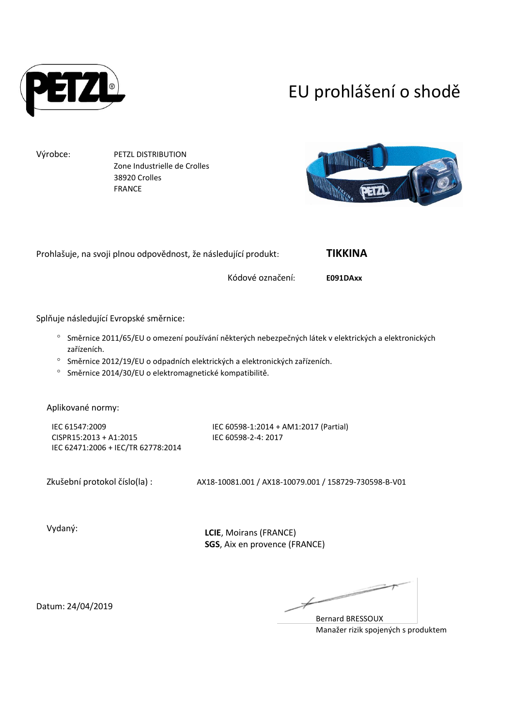

## EU prohlášení o shodě

Výrobce: PETZL DISTRIBUTION Zone Industrielle de Crolles 38920 Crolles FRANCE



Prohlašuje, na svoji plnou odpovědnost, že následující produkt: **TIKKINA**

Kódové označení: **E091DAxx**

Splňuje následující Evropské směrnice:

- Směrnice 2011/65/EU o omezení používání některých nebezpečných látek v elektrických a elektronických zařízeních.
- <sup>o</sup> Směrnice 2012/19/EU o odpadních elektrických a elektronických zařízeních.
- <sup>o</sup> Směrnice 2014/30/EU o elektromagnetické kompatibilitě.

Aplikované normy:

IEC 61547:2009 CISPR15:2013 + A1:2015 IEC 62471:2006 + IEC/TR 62778:2014 IEC 60598-1:2014 + AM1:2017 (Partial) IEC 60598-2-4: 2017

Zkušební protokol číslo(la) : AX18-10081.001 / AX18-10079.001 / 158729-730598-B-V01

Vydaný:

**LCIE**, Moirans (FRANCE) **SGS**, Aix en provence (FRANCE)

 $\overline{\phantom{a}}$ 

Bernard BRESSOUX Manažer rizik spojených s produktem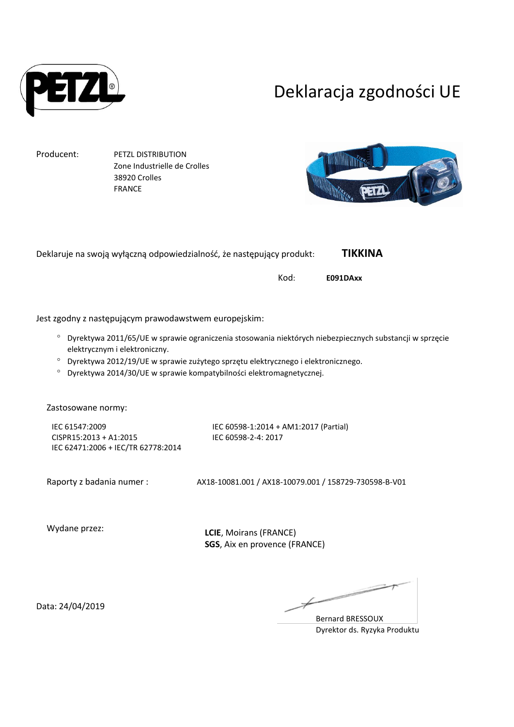

### Deklaracja zgodności UE

Producent: PETZL DISTRIBUTION Zone Industrielle de Crolles 38920 Crolles FRANCE



|                               | Deklaruje na swoją wyłączną odpowiedzialność, że następujący produkt:                                                                                                                                                                                                                               |                                                              | TIKKINA  |
|-------------------------------|-----------------------------------------------------------------------------------------------------------------------------------------------------------------------------------------------------------------------------------------------------------------------------------------------------|--------------------------------------------------------------|----------|
|                               |                                                                                                                                                                                                                                                                                                     | Kod:                                                         | E091DAxx |
|                               | Jest zgodny z następującym prawodawstwem europejskim:                                                                                                                                                                                                                                               |                                                              |          |
| $\circ$<br>$\circ$<br>$\circ$ | Dyrektywa 2011/65/UE w sprawie ograniczenia stosowania niektórych niebezpiecznych substancji w sprzęcie<br>elektrycznym i elektroniczny.<br>Dyrektywa 2012/19/UE w sprawie zużytego sprzętu elektrycznego i elektronicznego.<br>Dyrektywa 2014/30/UE w sprawie kompatybilności elektromagnetycznej. |                                                              |          |
|                               | Zastosowane normy:<br>IEC 61547:2009<br>CISPR15:2013 + A1:2015<br>IEC 62471:2006 + IEC/TR 62778:2014                                                                                                                                                                                                | IEC 60598-1:2014 + AM1:2017 (Partial)<br>IEC 60598-2-4: 2017 |          |

Raporty z badania numer : <br>AX18-10081.001 / AX18-10079.001 / 158729-730598-B-V01

Wydane przez:

**LCIE**, Moirans (FRANCE) **SGS**, Aix en provence (FRANCE)

Data: 24/04/2019

r,

Bernard BRESSOUX Dyrektor ds. Ryzyka Produktu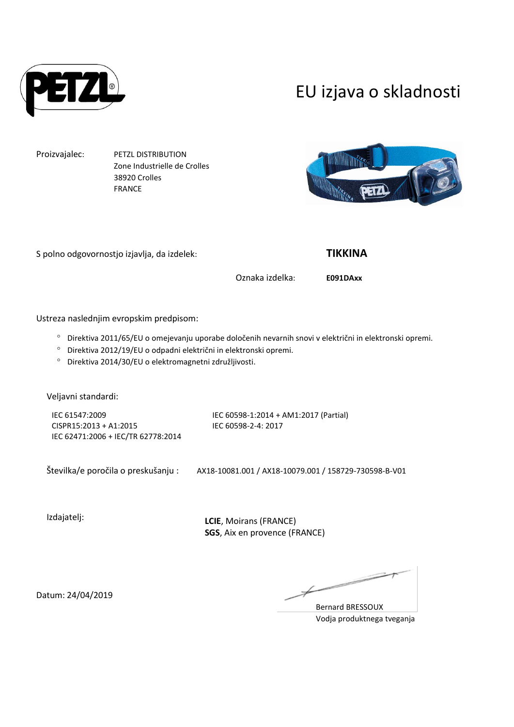

### EU izjava o skladnosti

Proizvajalec: PETZL DISTRIBUTION Zone Industrielle de Crolles 38920 Crolles FRANCE

S polno odgovornostjo izjavlja, da izdelek: **TIKKINA**

Oznaka izdelka: **E091DAxx**

Ustreza naslednjim evropskim predpisom:

- Direktiva 2011/65/EU o omejevanju uporabe določenih nevarnih snovi v električni in elektronski opremi.
- Direktiva 2012/19/EU o odpadni električni in elektronski opremi.
- Direktiva 2014/30/EU o elektromagnetni združljivosti.

Veljavni standardi:

IEC 61547:2009 CISPR15:2013 + A1:2015 IEC 62471:2006 + IEC/TR 62778:2014 IEC 60598-1:2014 + AM1:2017 (Partial) IEC 60598-2-4: 2017

Številka/e poročila o preskušanju : AX18-10081.001 / AX18-10079.001 / 158729-730598-B-V01

Izdajatelj:

**LCIE**, Moirans (FRANCE) **SGS**, Aix en provence (FRANCE)

Bernard BRESSOUX Vodja produktnega tveganja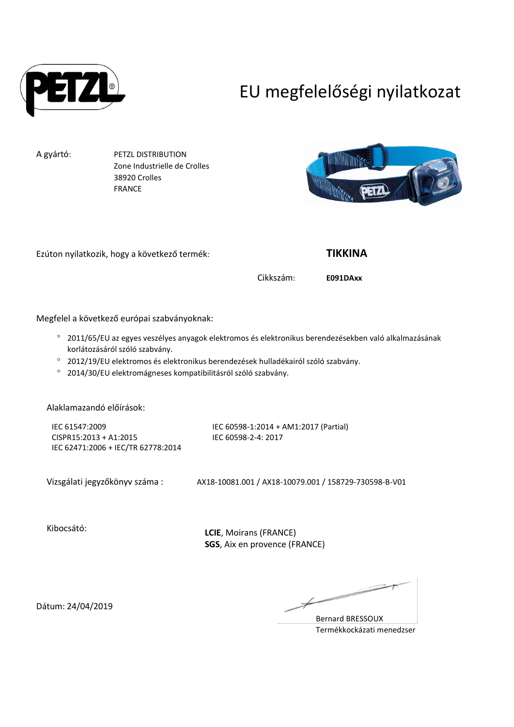

# EU megfelelőségi nyilatkozat

A gyártó: PETZL DISTRIBUTION Zone Industrielle de Crolles 38920 Crolles FRANCE



Ezúton nyilatkozik, hogy a következő termék: **TIKKINA**

Cikkszám: **E091DAxx**

Megfelel a következő európai szabványoknak:

- 2011/65/EU az egyes veszélyes anyagok elektromos és elektronikus berendezésekben való alkalmazásának korlátozásáról szóló szabvány.
- 2012/19/EU elektromos és elektronikus berendezések hulladékairól szóló szabvány.
- 2014/30/EU elektromágneses kompatibilitásról szóló szabvány.

Alaklamazandó előírások:

IEC 61547:2009 CISPR15:2013 + A1:2015 IEC 62471:2006 + IEC/TR 62778:2014 IEC 60598-1:2014 + AM1:2017 (Partial) IEC 60598-2-4: 2017

Vizsgálati jegyzőkönyv száma : AX18-10081.001 / AX18-10079.001 / 158729-730598-B-V01

Kibocsátó:

**LCIE**, Moirans (FRANCE) **SGS**, Aix en provence (FRANCE)

Bernard BRESSOUX Termékkockázati menedzser